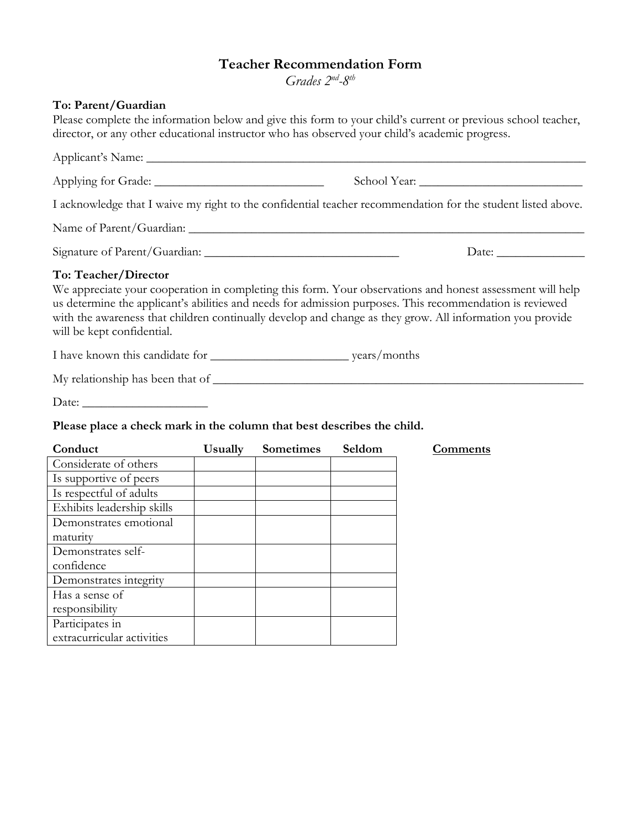## **Teacher Recommendation Form**

*Grades 2nd-8th* 

## **To: Parent/Guardian**

Please complete the information below and give this form to your child's current or previous school teacher, director, or any other educational instructor who has observed your child's academic progress.

Applicant's Name: \_\_\_\_\_\_\_\_\_\_\_\_\_\_\_\_\_\_\_\_\_\_\_\_\_\_\_\_\_\_\_\_\_\_\_\_\_\_\_\_\_\_\_\_\_\_\_\_\_\_\_\_\_\_\_\_\_\_\_\_\_\_\_\_\_\_\_\_\_\_ Applying for Grade: \_\_\_\_\_\_\_\_\_\_\_\_\_\_\_\_\_\_\_\_\_\_\_\_\_\_\_ School Year: \_\_\_\_\_\_\_\_\_\_\_\_\_\_\_\_\_\_\_\_\_\_\_\_\_\_ I acknowledge that I waive my right to the confidential teacher recommendation for the student listed above. Name of Parent/Guardian: \_\_\_\_\_\_\_\_\_\_\_\_\_\_\_\_\_\_\_\_\_\_\_\_\_\_\_\_\_\_\_\_\_\_\_\_\_\_\_\_\_\_\_\_\_\_\_\_\_\_\_\_\_\_\_\_\_\_\_\_\_\_\_ Signature of Parent/Guardian: \_\_\_\_\_\_\_\_\_\_\_\_\_\_\_\_\_\_\_\_\_\_\_\_\_\_\_\_\_\_\_ Date: \_\_\_\_\_\_\_\_\_\_\_\_\_\_ **To: Teacher/Director** We appreciate your cooperation in completing this form. Your observations and honest assessment will help us determine the applicant's abilities and needs for admission purposes. This recommendation is reviewed with the awareness that children continually develop and change as they grow. All information you provide will be kept confidential. I have known this candidate for \_\_\_\_\_\_\_\_\_\_\_\_\_\_\_\_\_\_\_\_\_\_ years/months

My relationship has been that of \_\_\_\_\_\_\_\_\_\_\_\_\_\_\_\_\_\_\_\_\_\_\_\_\_\_\_\_\_\_\_\_\_\_\_\_\_\_\_\_\_\_\_\_\_\_\_\_\_\_\_\_\_\_\_\_\_\_\_

Date: \_\_\_\_\_\_\_\_\_\_\_\_\_\_\_\_\_\_\_\_

## **Please place a check mark in the column that best describes the child.**

| Conduct                    | Usually | <b>Sometimes</b> | Seldom | Comments |
|----------------------------|---------|------------------|--------|----------|
| Considerate of others      |         |                  |        |          |
| Is supportive of peers     |         |                  |        |          |
| Is respectful of adults    |         |                  |        |          |
| Exhibits leadership skills |         |                  |        |          |
| Demonstrates emotional     |         |                  |        |          |
| maturity                   |         |                  |        |          |
| Demonstrates self-         |         |                  |        |          |
| confidence                 |         |                  |        |          |
| Demonstrates integrity     |         |                  |        |          |
| Has a sense of             |         |                  |        |          |
| responsibility             |         |                  |        |          |
| Participates in            |         |                  |        |          |
| extracurricular activities |         |                  |        |          |